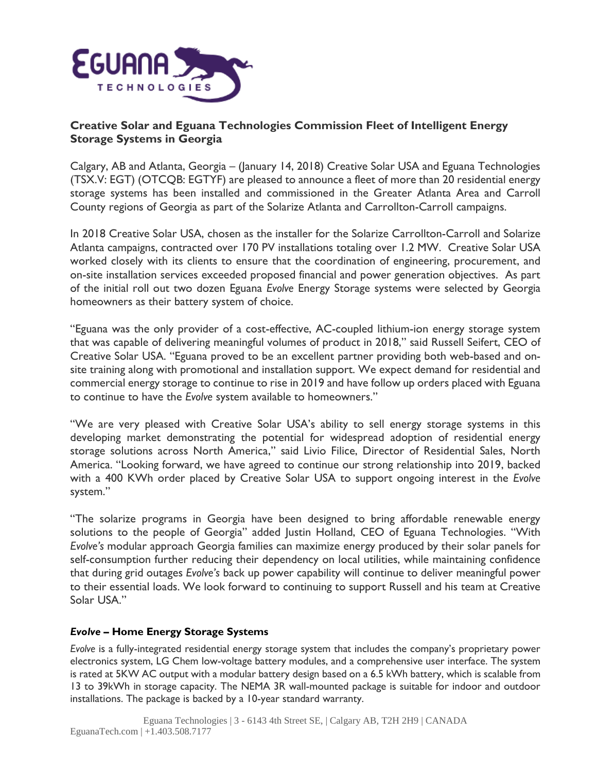

# **Creative Solar and Eguana Technologies Commission Fleet of Intelligent Energy Storage Systems in Georgia**

Calgary, AB and Atlanta, Georgia – (January 14, 2018) Creative Solar USA and Eguana Technologies (TSX.V: EGT) (OTCQB: EGTYF) are pleased to announce a fleet of more than 20 residential energy storage systems has been installed and commissioned in the Greater Atlanta Area and Carroll County regions of Georgia as part of the Solarize Atlanta and Carrollton-Carroll campaigns.

In 2018 Creative Solar USA, chosen as the installer for the Solarize Carrollton-Carroll and Solarize Atlanta campaigns, contracted over 170 PV installations totaling over 1.2 MW. Creative Solar USA worked closely with its clients to ensure that the coordination of engineering, procurement, and on-site installation services exceeded proposed financial and power generation objectives. As part of the initial roll out two dozen Eguana *Evolve* Energy Storage systems were selected by Georgia homeowners as their battery system of choice.

"Eguana was the only provider of a cost-effective, AC-coupled lithium-ion energy storage system that was capable of delivering meaningful volumes of product in 2018," said Russell Seifert, CEO of Creative Solar USA. "Eguana proved to be an excellent partner providing both web-based and onsite training along with promotional and installation support. We expect demand for residential and commercial energy storage to continue to rise in 2019 and have follow up orders placed with Eguana to continue to have the *Evolve* system available to homeowners."

"We are very pleased with Creative Solar USA's ability to sell energy storage systems in this developing market demonstrating the potential for widespread adoption of residential energy storage solutions across North America," said Livio Filice, Director of Residential Sales, North America. "Looking forward, we have agreed to continue our strong relationship into 2019, backed with a 400 KWh order placed by Creative Solar USA to support ongoing interest in the *Evolve* system."

"The solarize programs in Georgia have been designed to bring affordable renewable energy solutions to the people of Georgia" added Justin Holland, CEO of Eguana Technologies. "With *Evolve's* modular approach Georgia families can maximize energy produced by their solar panels for self-consumption further reducing their dependency on local utilities, while maintaining confidence that during grid outages *Evolve's* back up power capability will continue to deliver meaningful power to their essential loads. We look forward to continuing to support Russell and his team at Creative Solar USA."

## *Evolve* **– Home Energy Storage Systems**

*Evolve* is a fully-integrated residential energy storage system that includes the company's proprietary power electronics system, LG Chem low-voltage battery modules, and a comprehensive user interface. The system is rated at 5KW AC output with a modular battery design based on a 6.5 kWh battery, which is scalable from 13 to 39kWh in storage capacity. The NEMA 3R wall-mounted package is suitable for indoor and outdoor installations. The package is backed by a 10-year standard warranty.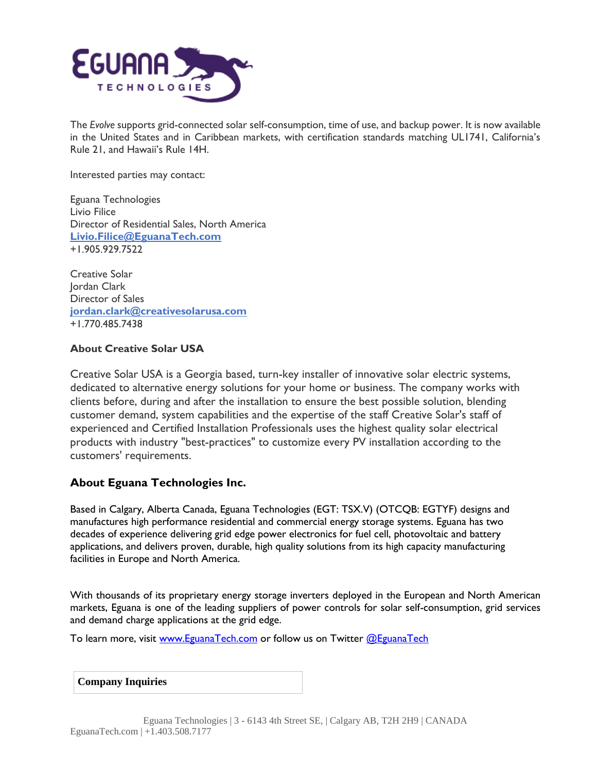

The *Evolve* supports grid-connected solar self-consumption, time of use, and backup power. It is now available in the United States and in Caribbean markets, with certification standards matching UL1741, California's Rule 21, and Hawaii's Rule 14H.

Interested parties may contact:

Eguana Technologies Livio Filice Director of Residential Sales, North America **[Livio.Filice@EguanaTech.com](mailto:Livio.Filice@EguanaTech.com)** +1.905.929.7522

Creative Solar Jordan Clark Director of Sales **[jordan.clark@creativesolarusa.com](mailto:jordan.clark@creativesolarusa.com)** +1.770.485.7438

#### **About Creative Solar USA**

Creative Solar USA is a Georgia based, turn-key installer of innovative solar electric systems, dedicated to alternative energy solutions for your home or business. The company works with clients before, during and after the installation to ensure the best possible solution, blending customer demand, system capabilities and the expertise of the staff Creative Solar's staff of experienced and Certified Installation Professionals uses the highest quality solar electrical products with industry "best-practices" to customize every PV installation according to the customers' requirements.

## **About Eguana Technologies Inc.**

Based in Calgary, Alberta Canada, Eguana Technologies (EGT: TSX.V) (OTCQB: EGTYF) designs and manufactures high performance residential and commercial energy storage systems. Eguana has two decades of experience delivering grid edge power electronics for fuel cell, photovoltaic and battery applications, and delivers proven, durable, high quality solutions from its high capacity manufacturing facilities in Europe and North America.

With thousands of its proprietary energy storage inverters deployed in the European and North American markets, Eguana is one of the leading suppliers of power controls for solar self-consumption, grid services and demand charge applications at the grid edge.

To learn more, visit [www.EguanaTech.com](http://www.eguanatech.com/) or follow us on Twitter [@EguanaTech](https://twitter.com/EguanaTech)

| <b>Company Inquiries</b> |  |
|--------------------------|--|
|--------------------------|--|